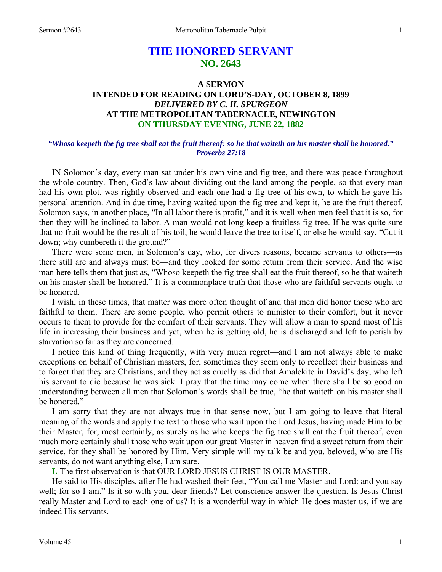# **THE HONORED SERVANT NO. 2643**

# **A SERMON INTENDED FOR READING ON LORD'S-DAY, OCTOBER 8, 1899**  *DELIVERED BY C. H. SPURGEON*  **AT THE METROPOLITAN TABERNACLE, NEWINGTON ON THURSDAY EVENING, JUNE 22, 1882**

## *"Whoso keepeth the fig tree shall eat the fruit thereof: so he that waiteth on his master shall be honored." Proverbs 27:18*

IN Solomon's day, every man sat under his own vine and fig tree, and there was peace throughout the whole country. Then, God's law about dividing out the land among the people, so that every man had his own plot, was rightly observed and each one had a fig tree of his own, to which he gave his personal attention. And in due time, having waited upon the fig tree and kept it, he ate the fruit thereof. Solomon says, in another place, "In all labor there is profit," and it is well when men feel that it is so, for then they will be inclined to labor. A man would not long keep a fruitless fig tree. If he was quite sure that no fruit would be the result of his toil, he would leave the tree to itself, or else he would say, "Cut it down; why cumbereth it the ground?"

 There were some men, in Solomon's day, who, for divers reasons, became servants to others—as there still are and always must be—and they looked for some return from their service. And the wise man here tells them that just as, "Whoso keepeth the fig tree shall eat the fruit thereof, so he that waiteth on his master shall be honored." It is a commonplace truth that those who are faithful servants ought to be honored.

 I wish, in these times, that matter was more often thought of and that men did honor those who are faithful to them. There are some people, who permit others to minister to their comfort, but it never occurs to them to provide for the comfort of their servants. They will allow a man to spend most of his life in increasing their business and yet, when he is getting old, he is discharged and left to perish by starvation so far as they are concerned.

 I notice this kind of thing frequently, with very much regret—and I am not always able to make exceptions on behalf of Christian masters, for, sometimes they seem only to recollect their business and to forget that they are Christians, and they act as cruelly as did that Amalekite in David's day, who left his servant to die because he was sick. I pray that the time may come when there shall be so good an understanding between all men that Solomon's words shall be true, "he that waiteth on his master shall be honored."

 I am sorry that they are not always true in that sense now, but I am going to leave that literal meaning of the words and apply the text to those who wait upon the Lord Jesus, having made Him to be their Master, for, most certainly, as surely as he who keeps the fig tree shall eat the fruit thereof, even much more certainly shall those who wait upon our great Master in heaven find a sweet return from their service, for they shall be honored by Him. Very simple will my talk be and you, beloved, who are His servants, do not want anything else, I am sure.

**I.** The first observation is that OUR LORD JESUS CHRIST IS OUR MASTER.

 He said to His disciples, after He had washed their feet, "You call me Master and Lord: and you say well; for so I am." Is it so with you, dear friends? Let conscience answer the question. Is Jesus Christ really Master and Lord to each one of us? It is a wonderful way in which He does master us, if we are indeed His servants.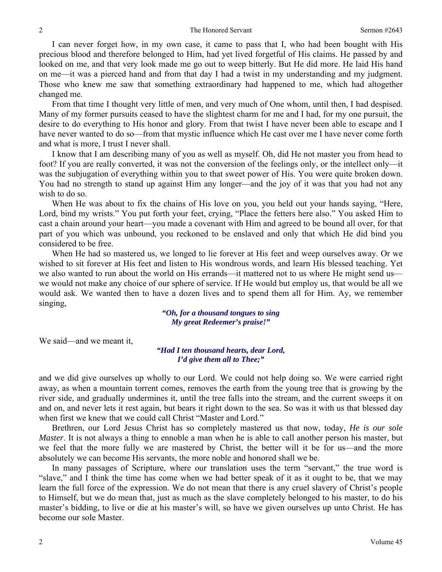I can never forget how, in my own case, it came to pass that I, who had been bought with His precious blood and therefore belonged to Him, had yet lived forgetful of His claims. He passed by and looked on me, and that very look made me go out to weep bitterly. But He did more. He laid His hand on me—it was a pierced hand and from that day I had a twist in my understanding and my judgment. Those who knew me saw that something extraordinary had happened to me, which had altogether changed me.

 From that time I thought very little of men, and very much of One whom, until then, I had despised. Many of my former pursuits ceased to have the slightest charm for me and I had, for my one pursuit, the desire to do everything to His honor and glory. From that twist I have never been able to escape and I have never wanted to do so—from that mystic influence which He cast over me I have never come forth and what is more, I trust I never shall.

 I know that I am describing many of you as well as myself. Oh, did He not master you from head to foot? If you are really converted, it was not the conversion of the feelings only, or the intellect only—it was the subjugation of everything within you to that sweet power of His. You were quite broken down. You had no strength to stand up against Him any longer—and the joy of it was that you had not any wish to do so.

When He was about to fix the chains of His love on you, you held out your hands saying, "Here, Lord, bind my wrists." You put forth your feet, crying, "Place the fetters here also." You asked Him to cast a chain around your heart—you made a covenant with Him and agreed to be bound all over, for that part of you which was unbound, you reckoned to be enslaved and only that which He did bind you considered to be free.

 When He had so mastered us, we longed to lie forever at His feet and weep ourselves away. Or we wished to sit forever at His feet and listen to His wondrous words, and learn His blessed teaching. Yet we also wanted to run about the world on His errands—it mattered not to us where He might send us we would not make any choice of our sphere of service. If He would but employ us, that would be all we would ask. We wanted then to have a dozen lives and to spend them all for Him. Ay, we remember singing,

### *"Oh, for a thousand tongues to sing My great Redeemer's praise!"*

We said—and we meant it,

*"Had I ten thousand hearts, dear Lord, I'd give them all to Thee;"* 

and we did give ourselves up wholly to our Lord. We could not help doing so. We were carried right away, as when a mountain torrent comes, removes the earth from the young tree that is growing by the river side, and gradually undermines it, until the tree falls into the stream, and the current sweeps it on and on, and never lets it rest again, but bears it right down to the sea. So was it with us that blessed day when first we knew that we could call Christ "Master and Lord."

 Brethren, our Lord Jesus Christ has so completely mastered us that now, today, *He is our sole Master*. It is not always a thing to ennoble a man when he is able to call another person his master, but we feel that the more fully we are mastered by Christ, the better will it be for us—and the more absolutely we can become His servants, the more noble and honored shall we be.

 In many passages of Scripture, where our translation uses the term "servant," the true word is "slave," and I think the time has come when we had better speak of it as it ought to be, that we may learn the full force of the expression. We do not mean that there is any cruel slavery of Christ's people to Himself, but we do mean that, just as much as the slave completely belonged to his master, to do his master's bidding, to live or die at his master's will, so have we given ourselves up unto Christ. He has become our sole Master.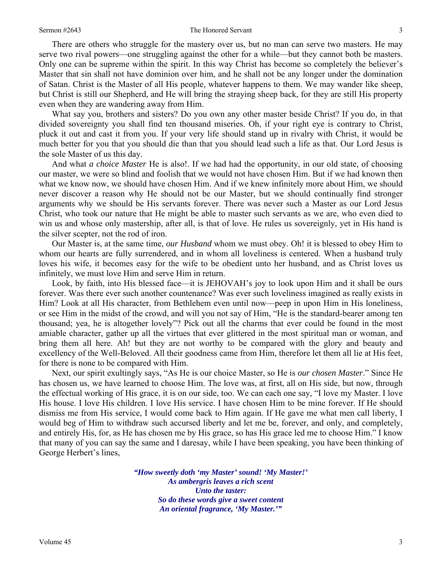#### Sermon #2643 **Sermon #2643** The Honored Servant 3

 There are others who struggle for the mastery over us, but no man can serve two masters. He may serve two rival powers—one struggling against the other for a while—but they cannot both be masters. Only one can be supreme within the spirit. In this way Christ has become so completely the believer's Master that sin shall not have dominion over him, and he shall not be any longer under the domination of Satan. Christ is the Master of all His people, whatever happens to them. We may wander like sheep, but Christ is still our Shepherd, and He will bring the straying sheep back, for they are still His property even when they are wandering away from Him.

 What say you, brothers and sisters? Do you own any other master beside Christ? If you do, in that divided sovereignty you shall find ten thousand miseries. Oh, if your right eye is contrary to Christ, pluck it out and cast it from you. If your very life should stand up in rivalry with Christ, it would be much better for you that you should die than that you should lead such a life as that. Our Lord Jesus is the sole Master of us this day.

 And what *a choice Master* He is also!. If we had had the opportunity, in our old state, of choosing our master, we were so blind and foolish that we would not have chosen Him. But if we had known then what we know now, we should have chosen Him. And if we knew infinitely more about Him, we should never discover a reason why He should not be our Master, but we should continually find stronger arguments why we should be His servants forever. There was never such a Master as our Lord Jesus Christ, who took our nature that He might be able to master such servants as we are, who even died to win us and whose only mastership, after all, is that of love. He rules us sovereignly, yet in His hand is the silver scepter, not the rod of iron.

 Our Master is, at the same time, *our Husband* whom we must obey. Oh! it is blessed to obey Him to whom our hearts are fully surrendered, and in whom all loveliness is centered. When a husband truly loves his wife, it becomes easy for the wife to be obedient unto her husband, and as Christ loves us infinitely, we must love Him and serve Him in return.

 Look, by faith, into His blessed face—it is JEHOVAH's joy to look upon Him and it shall be ours forever. Was there ever such another countenance? Was ever such loveliness imagined as really exists in Him? Look at all His character, from Bethlehem even until now—peep in upon Him in His loneliness, or see Him in the midst of the crowd, and will you not say of Him, "He is the standard-bearer among ten thousand; yea, he is altogether lovely"? Pick out all the charms that ever could be found in the most amiable character, gather up all the virtues that ever glittered in the most spiritual man or woman, and bring them all here. Ah! but they are not worthy to be compared with the glory and beauty and excellency of the Well-Beloved. All their goodness came from Him, therefore let them all lie at His feet, for there is none to be compared with Him.

 Next, our spirit exultingly says, "As He is our choice Master, so He is *our chosen Master*." Since He has chosen us, we have learned to choose Him. The love was, at first, all on His side, but now, through the effectual working of His grace, it is on our side, too. We can each one say, "I love my Master. I love His house. I love His children. I love His service. I have chosen Him to be mine forever. If He should dismiss me from His service, I would come back to Him again. If He gave me what men call liberty, I would beg of Him to withdraw such accursed liberty and let me be, forever, and only, and completely, and entirely His, for, as He has chosen me by His grace, so has His grace led me to choose Him." I know that many of you can say the same and I daresay, while I have been speaking, you have been thinking of George Herbert's lines,

> *"How sweetly doth 'my Master' sound! 'My Master!' As ambergris leaves a rich scent Unto the taster: So do these words give a sweet content An oriental fragrance, 'My Master.'"*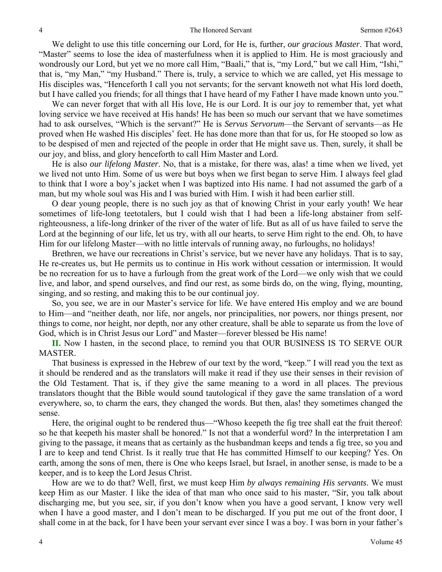We delight to use this title concerning our Lord, for He is, further, *our gracious Master*. That word, "Master" seems to lose the idea of masterfulness when it is applied to Him. He is most graciously and wondrously our Lord, but yet we no more call Him, "Baali," that is, "my Lord," but we call Him, "Ishi," that is, "my Man," "my Husband." There is, truly, a service to which we are called, yet His message to His disciples was, "Henceforth I call you not servants; for the servant knoweth not what His lord doeth, but I have called you friends; for all things that I have heard of my Father I have made known unto you."

 We can never forget that with all His love, He is our Lord. It is our joy to remember that, yet what loving service we have received at His hands! He has been so much our servant that we have sometimes had to ask ourselves, "Which is the servant?" He is *Servus Servorum*—the Servant of servants—as He proved when He washed His disciples' feet. He has done more than that for us, for He stooped so low as to be despised of men and rejected of the people in order that He might save us. Then, surely, it shall be our joy, and bliss, and glory henceforth to call Him Master and Lord.

 He is also *our lifelong Master*. No, that is a mistake, for there was, alas! a time when we lived, yet we lived not unto Him. Some of us were but boys when we first began to serve Him. I always feel glad to think that I wore a boy's jacket when I was baptized into His name. I had not assumed the garb of a man, but my whole soul was His and I was buried with Him. I wish it had been earlier still.

 O dear young people, there is no such joy as that of knowing Christ in your early youth! We hear sometimes of life-long teetotalers, but I could wish that I had been a life-long abstainer from selfrighteousness, a life-long drinker of the river of the water of life. But as all of us have failed to serve the Lord at the beginning of our life, let us try, with all our hearts, to serve Him right to the end. Oh, to have Him for our lifelong Master—with no little intervals of running away, no furloughs, no holidays!

 Brethren, we have our recreations in Christ's service, but we never have any holidays. That is to say, He re-creates us, but He permits us to continue in His work without cessation or intermission. It would be no recreation for us to have a furlough from the great work of the Lord—we only wish that we could live, and labor, and spend ourselves, and find our rest, as some birds do, on the wing, flying, mounting, singing, and so resting, and making this to be our continual joy.

 So, you see, we are in our Master's service for life. We have entered His employ and we are bound to Him—and "neither death, nor life, nor angels, nor principalities, nor powers, nor things present, nor things to come, nor height, nor depth, nor any other creature, shall be able to separate us from the love of God, which is in Christ Jesus our Lord" and Master—forever blessed be His name!

 **II.** Now I hasten, in the second place, to remind you that OUR BUSINESS IS TO SERVE OUR MASTER.

 That business is expressed in the Hebrew of our text by the word, "keep." I will read you the text as it should be rendered and as the translators will make it read if they use their senses in their revision of the Old Testament. That is, if they give the same meaning to a word in all places. The previous translators thought that the Bible would sound tautological if they gave the same translation of a word everywhere, so, to charm the ears, they changed the words. But then, alas! they sometimes changed the sense.

 Here, the original ought to be rendered thus—"Whoso keepeth the fig tree shall eat the fruit thereof: so he that keepeth his master shall be honored." Is not that a wonderful word? In the interpretation I am giving to the passage, it means that as certainly as the husbandman keeps and tends a fig tree, so you and I are to keep and tend Christ. Is it really true that He has committed Himself to our keeping? Yes. On earth, among the sons of men, there is One who keeps Israel, but Israel, in another sense, is made to be a keeper, and is to keep the Lord Jesus Christ.

 How are we to do that? Well, first, we must keep Him *by always remaining His servants*. We must keep Him as our Master. I like the idea of that man who once said to his master, "Sir, you talk about discharging me, but you see, sir, if you don't know when you have a good servant, I know very well when I have a good master, and I don't mean to be discharged. If you put me out of the front door, I shall come in at the back, for I have been your servant ever since I was a boy. I was born in your father's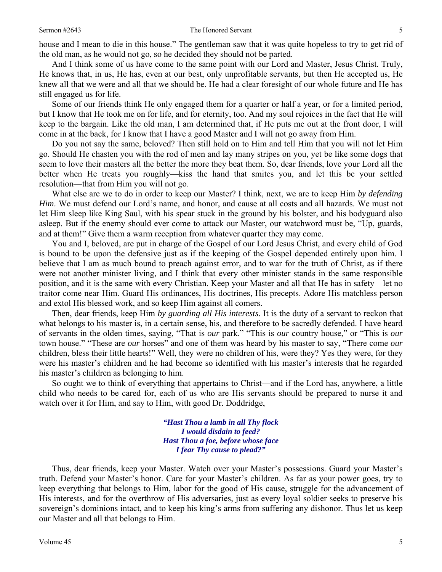house and I mean to die in this house." The gentleman saw that it was quite hopeless to try to get rid of the old man, as he would not go, so he decided they should not be parted.

 And I think some of us have come to the same point with our Lord and Master, Jesus Christ. Truly, He knows that, in us, He has, even at our best, only unprofitable servants, but then He accepted us, He knew all that we were and all that we should be. He had a clear foresight of our whole future and He has still engaged us for life.

 Some of our friends think He only engaged them for a quarter or half a year, or for a limited period, but I know that He took me on for life, and for eternity, too. And my soul rejoices in the fact that He will keep to the bargain. Like the old man, I am determined that, if He puts me out at the front door, I will come in at the back, for I know that I have a good Master and I will not go away from Him.

 Do you not say the same, beloved? Then still hold on to Him and tell Him that you will not let Him go. Should He chasten you with the rod of men and lay many stripes on you, yet be like some dogs that seem to love their masters all the better the more they beat them. So, dear friends, love your Lord all the better when He treats you roughly—kiss the hand that smites you, and let this be your settled resolution—that from Him you will not go.

 What else are we to do in order to keep our Master? I think, next, we are to keep Him *by defending Him*. We must defend our Lord's name, and honor, and cause at all costs and all hazards. We must not let Him sleep like King Saul, with his spear stuck in the ground by his bolster, and his bodyguard also asleep. But if the enemy should ever come to attack our Master, our watchword must be, "Up, guards, and at them!" Give them a warm reception from whatever quarter they may come.

 You and I, beloved, are put in charge of the Gospel of our Lord Jesus Christ, and every child of God is bound to be upon the defensive just as if the keeping of the Gospel depended entirely upon him. I believe that I am as much bound to preach against error, and to war for the truth of Christ, as if there were not another minister living, and I think that every other minister stands in the same responsible position, and it is the same with every Christian. Keep your Master and all that He has in safety—let no traitor come near Him. Guard His ordinances, His doctrines, His precepts. Adore His matchless person and extol His blessed work, and so keep Him against all comers.

 Then, dear friends, keep Him *by guarding all His interests.* It is the duty of a servant to reckon that what belongs to his master is, in a certain sense, his, and therefore to be sacredly defended. I have heard of servants in the olden times, saying, "That is *our* park." "This is *our* country house," or "This is *our*  town house." "These are *our* horses" and one of them was heard by his master to say, "There come *our*  children, bless their little hearts!" Well, they were no children of his, were they? Yes they were, for they were his master's children and he had become so identified with his master's interests that he regarded his master's children as belonging to him.

 So ought we to think of everything that appertains to Christ—and if the Lord has, anywhere, a little child who needs to be cared for, each of us who are His servants should be prepared to nurse it and watch over it for Him, and say to Him, with good Dr. Doddridge,

> *"Hast Thou a lamb in all Thy flock I would disdain to feed? Hast Thou a foe, before whose face I fear Thy cause to plead?"*

 Thus, dear friends, keep your Master. Watch over your Master's possessions. Guard your Master's truth. Defend your Master's honor. Care for your Master's children. As far as your power goes, try to keep everything that belongs to Him, labor for the good of His cause, struggle for the advancement of His interests, and for the overthrow of His adversaries, just as every loyal soldier seeks to preserve his sovereign's dominions intact, and to keep his king's arms from suffering any dishonor. Thus let us keep our Master and all that belongs to Him.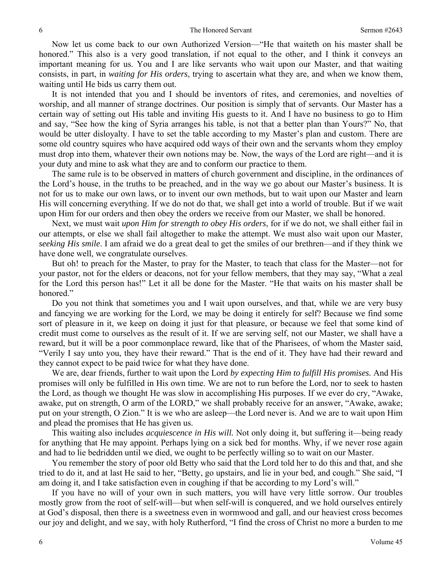Now let us come back to our own Authorized Version—"He that waiteth on his master shall be honored." This also is a very good translation, if not equal to the other, and I think it conveys an important meaning for us. You and I are like servants who wait upon our Master, and that waiting consists, in part, in *waiting for His orders*, trying to ascertain what they are, and when we know them, waiting until He bids us carry them out.

 It is not intended that you and I should be inventors of rites, and ceremonies, and novelties of worship, and all manner of strange doctrines. Our position is simply that of servants. Our Master has a certain way of setting out His table and inviting His guests to it. And I have no business to go to Him and say, "See how the king of Syria arranges his table, is not that a better plan than Yours?" No, that would be utter disloyalty. I have to set the table according to my Master's plan and custom. There are some old country squires who have acquired odd ways of their own and the servants whom they employ must drop into them, whatever their own notions may be. Now, the ways of the Lord are right—and it is your duty and mine to ask what they are and to conform our practice to them.

 The same rule is to be observed in matters of church government and discipline, in the ordinances of the Lord's house, in the truths to be preached, and in the way we go about our Master's business. It is not for us to make our own laws, or to invent our own methods, but to wait upon our Master and learn His will concerning everything. If we do not do that, we shall get into a world of trouble. But if we wait upon Him for our orders and then obey the orders we receive from our Master, we shall be honored.

 Next, we must wait *upon Him for strength to obey His orders*, for if we do not, we shall either fail in our attempts, or else we shall fail altogether to make the attempt. We must also wait upon our Master, *seeking His smile*. I am afraid we do a great deal to get the smiles of our brethren—and if they think we have done well, we congratulate ourselves.

 But oh! to preach for the Master, to pray for the Master, to teach that class for the Master—not for your pastor, not for the elders or deacons, not for your fellow members, that they may say, "What a zeal for the Lord this person has!" Let it all be done for the Master. "He that waits on his master shall be honored."

 Do you not think that sometimes you and I wait upon ourselves, and that, while we are very busy and fancying we are working for the Lord, we may be doing it entirely for self? Because we find some sort of pleasure in it, we keep on doing it just for that pleasure, or because we feel that some kind of credit must come to ourselves as the result of it. If we are serving self, not our Master, we shall have a reward, but it will be a poor commonplace reward, like that of the Pharisees, of whom the Master said, "Verily I say unto you, they have their reward." That is the end of it. They have had their reward and they cannot expect to be paid twice for what they have done.

 We are, dear friends, further to wait upon the Lord *by expecting Him to fulfill His promises.* And His promises will only be fulfilled in His own time. We are not to run before the Lord, nor to seek to hasten the Lord, as though we thought He was slow in accomplishing His purposes. If we ever do cry, "Awake, awake, put on strength, O arm of the LORD," we shall probably receive for an answer, "Awake, awake; put on your strength, O Zion." It is we who are asleep—the Lord never is. And we are to wait upon Him and plead the promises that He has given us.

 This waiting also includes *acquiescence in His will.* Not only doing it, but suffering it—being ready for anything that He may appoint. Perhaps lying on a sick bed for months. Why, if we never rose again and had to lie bedridden until we died, we ought to be perfectly willing so to wait on our Master.

 You remember the story of poor old Betty who said that the Lord told her to do this and that, and she tried to do it, and at last He said to her, "Betty, go upstairs, and lie in your bed, and cough." She said, "I am doing it, and I take satisfaction even in coughing if that be according to my Lord's will."

 If you have no will of your own in such matters, you will have very little sorrow. Our troubles mostly grow from the root of self-will—but when self-will is conquered, and we hold ourselves entirely at God's disposal, then there is a sweetness even in wormwood and gall, and our heaviest cross becomes our joy and delight, and we say, with holy Rutherford, "I find the cross of Christ no more a burden to me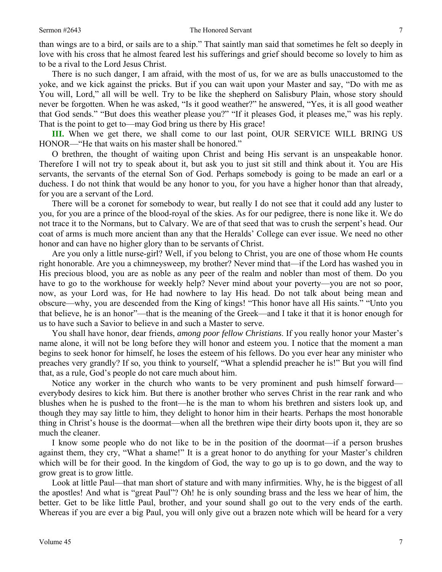than wings are to a bird, or sails are to a ship." That saintly man said that sometimes he felt so deeply in love with his cross that he almost feared lest his sufferings and grief should become so lovely to him as to be a rival to the Lord Jesus Christ.

 There is no such danger, I am afraid, with the most of us, for we are as bulls unaccustomed to the yoke, and we kick against the pricks. But if you can wait upon your Master and say, "Do with me as You will, Lord," all will be well. Try to be like the shepherd on Salisbury Plain, whose story should never be forgotten. When he was asked, "Is it good weather?" he answered, "Yes, it is all good weather that God sends." "But does this weather please you?" "If it pleases God, it pleases me," was his reply. That is the point to get to—may God bring us there by His grace!

**III.** When we get there, we shall come to our last point, OUR SERVICE WILL BRING US HONOR—"He that waits on his master shall be honored."

 O brethren, the thought of waiting upon Christ and being His servant is an unspeakable honor. Therefore I will not try to speak about it, but ask you to just sit still and think about it. You are His servants, the servants of the eternal Son of God. Perhaps somebody is going to be made an earl or a duchess. I do not think that would be any honor to you, for you have a higher honor than that already, for you are a servant of the Lord.

 There will be a coronet for somebody to wear, but really I do not see that it could add any luster to you, for you are a prince of the blood-royal of the skies. As for our pedigree, there is none like it. We do not trace it to the Normans, but to Calvary. We are of that seed that was to crush the serpent's head. Our coat of arms is much more ancient than any that the Heralds' College can ever issue. We need no other honor and can have no higher glory than to be servants of Christ.

 Are you only a little nurse-girl? Well, if you belong to Christ, you are one of those whom He counts right honorable. Are you a chimneysweep, my brother? Never mind that—if the Lord has washed you in His precious blood, you are as noble as any peer of the realm and nobler than most of them. Do you have to go to the workhouse for weekly help? Never mind about your poverty—you are not so poor, now, as your Lord was, for He had nowhere to lay His head. Do not talk about being mean and obscure—why, you are descended from the King of kings! "This honor have all His saints." "Unto you that believe, he is an honor"—that is the meaning of the Greek—and I take it that it is honor enough for us to have such a Savior to believe in and such a Master to serve.

 You shall have honor, dear friends, *among poor fellow Christians*. If you really honor your Master's name alone, it will not be long before they will honor and esteem you. I notice that the moment a man begins to seek honor for himself, he loses the esteem of his fellows. Do you ever hear any minister who preaches very grandly? If so, you think to yourself, "What a splendid preacher he is!" But you will find that, as a rule, God's people do not care much about him.

 Notice any worker in the church who wants to be very prominent and push himself forward everybody desires to kick him. But there is another brother who serves Christ in the rear rank and who blushes when he is pushed to the front—he is the man to whom his brethren and sisters look up, and though they may say little to him, they delight to honor him in their hearts. Perhaps the most honorable thing in Christ's house is the doormat—when all the brethren wipe their dirty boots upon it, they are so much the cleaner.

 I know some people who do not like to be in the position of the doormat—if a person brushes against them, they cry, "What a shame!" It is a great honor to do anything for your Master's children which will be for their good. In the kingdom of God, the way to go up is to go down, and the way to grow great is to grow little.

 Look at little Paul—that man short of stature and with many infirmities. Why, he is the biggest of all the apostles! And what is "great Paul"? Oh! he is only sounding brass and the less we hear of him, the better. Get to be like little Paul, brother, and your sound shall go out to the very ends of the earth. Whereas if you are ever a big Paul, you will only give out a brazen note which will be heard for a very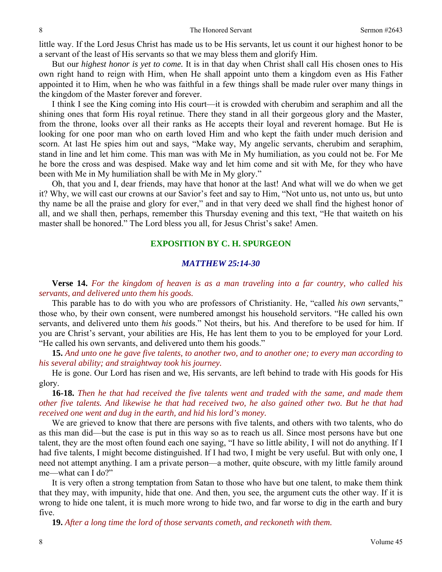little way. If the Lord Jesus Christ has made us to be His servants, let us count it our highest honor to be a servant of the least of His servants so that we may bless them and glorify Him.

 But our *highest honor is yet to come.* It is in that day when Christ shall call His chosen ones to His own right hand to reign with Him, when He shall appoint unto them a kingdom even as His Father appointed it to Him, when he who was faithful in a few things shall be made ruler over many things in the kingdom of the Master forever and forever.

 I think I see the King coming into His court—it is crowded with cherubim and seraphim and all the shining ones that form His royal retinue. There they stand in all their gorgeous glory and the Master, from the throne, looks over all their ranks as He accepts their loyal and reverent homage. But He is looking for one poor man who on earth loved Him and who kept the faith under much derision and scorn. At last He spies him out and says, "Make way, My angelic servants, cherubim and seraphim, stand in line and let him come. This man was with Me in My humiliation, as you could not be. For Me he bore the cross and was despised. Make way and let him come and sit with Me, for they who have been with Me in My humiliation shall be with Me in My glory."

 Oh, that you and I, dear friends, may have that honor at the last! And what will we do when we get it? Why, we will cast our crowns at our Savior's feet and say to Him, "Not unto us, not unto us, but unto thy name be all the praise and glory for ever," and in that very deed we shall find the highest honor of all, and we shall then, perhaps, remember this Thursday evening and this text, "He that waiteth on his master shall be honored." The Lord bless you all, for Jesus Christ's sake! Amen.

# **EXPOSITION BY C. H. SPURGEON**

### *MATTHEW 25:14-30*

**Verse 14.** *For the kingdom of heaven is as a man traveling into a far country, who called his servants, and delivered unto them his goods.* 

 This parable has to do with you who are professors of Christianity. He, "called *his own* servants," those who, by their own consent, were numbered amongst his household servitors. "He called his own servants, and delivered unto them *his* goods." Not theirs, but his. And therefore to be used for him. If you are Christ's servant, your abilities are His, He has lent them to you to be employed for your Lord. "He called his own servants, and delivered unto them his goods."

**15.** *And unto one he gave five talents, to another two, and to another one; to every man according to his several ability; and straightway took his journey.* 

 He is gone. Our Lord has risen and we, His servants, are left behind to trade with His goods for His glory.

**16-18.** *Then he that had received the five talents went and traded with the same, and made them other five talents. And likewise he that had received two, he also gained other two. But he that had received one went and dug in the earth, and hid his lord's money.* 

 We are grieved to know that there are persons with five talents, and others with two talents, who do as this man did—but the case is put in this way so as to reach us all. Since most persons have but one talent, they are the most often found each one saying, "I have so little ability, I will not do anything. If I had five talents, I might become distinguished. If I had two, I might be very useful. But with only one, I need not attempt anything. I am a private person—a mother, quite obscure, with my little family around me—what can I do?"

 It is very often a strong temptation from Satan to those who have but one talent, to make them think that they may, with impunity, hide that one. And then, you see, the argument cuts the other way. If it is wrong to hide one talent, it is much more wrong to hide two, and far worse to dig in the earth and bury five.

**19.** *After a long time the lord of those servants cometh, and reckoneth with them.*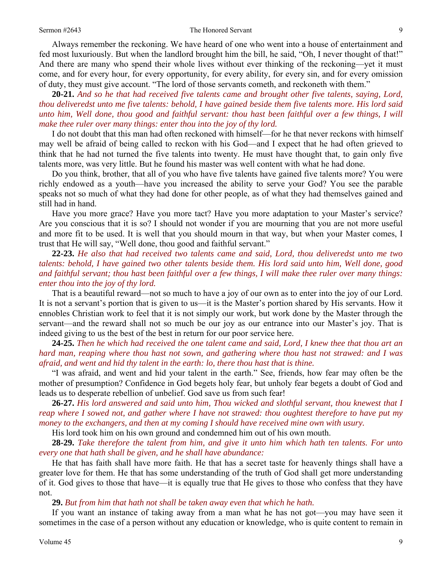Always remember the reckoning. We have heard of one who went into a house of entertainment and fed most luxuriously. But when the landlord brought him the bill, he said, "Oh, I never thought of that!" And there are many who spend their whole lives without ever thinking of the reckoning—yet it must come, and for every hour, for every opportunity, for every ability, for every sin, and for every omission of duty, they must give account. "The lord of those servants cometh, and reckoneth with them."

**20-21.** *And so he that had received five talents came and brought other five talents, saying, Lord, thou deliveredst unto me five talents: behold, I have gained beside them five talents more. His lord said unto him, Well done, thou good and faithful servant: thou hast been faithful over a few things, I will make thee ruler over many things: enter thou into the joy of thy lord.*

 I do not doubt that this man had often reckoned with himself—for he that never reckons with himself may well be afraid of being called to reckon with his God—and I expect that he had often grieved to think that he had not turned the five talents into twenty. He must have thought that, to gain only five talents more, was very little. But he found his master was well content with what he had done.

 Do you think, brother, that all of you who have five talents have gained five talents more? You were richly endowed as a youth—have you increased the ability to serve your God? You see the parable speaks not so much of what they had done for other people, as of what they had themselves gained and still had in hand.

 Have you more grace? Have you more tact? Have you more adaptation to your Master's service? Are you conscious that it is so? I should not wonder if you are mourning that you are not more useful and more fit to be used. It is well that you should mourn in that way, but when your Master comes, I trust that He will say, "Well done, thou good and faithful servant."

 **22-23.** *He also that had received two talents came and said, Lord, thou deliveredst unto me two talents: behold, I have gained two other talents beside them. His lord said unto him, Well done, good and faithful servant; thou hast been faithful over a few things, I will make thee ruler over many things: enter thou into the joy of thy lord.*

 That is a beautiful reward—not so much to have a joy of our own as to enter into the joy of our Lord. It is not a servant's portion that is given to us—it is the Master's portion shared by His servants. How it ennobles Christian work to feel that it is not simply our work, but work done by the Master through the servant—and the reward shall not so much be our joy as our entrance into our Master's joy. That is indeed giving to us the best of the best in return for our poor service here.

 **24-25.** *Then he which had received the one talent came and said, Lord, I knew thee that thou art an hard man, reaping where thou hast not sown, and gathering where thou hast not strawed: and I was afraid, and went and hid thy talent in the earth: lo, there thou hast that is thine.*

 "I was afraid, and went and hid your talent in the earth." See, friends, how fear may often be the mother of presumption? Confidence in God begets holy fear, but unholy fear begets a doubt of God and leads us to desperate rebellion of unbelief. God save us from such fear!

**26-27.** *His lord answered and said unto him, Thou wicked and slothful servant, thou knewest that I reap where I sowed not, and gather where I have not strawed: thou oughtest therefore to have put my money to the exchangers, and then at my coming I should have received mine own with usury.*

His lord took him on his own ground and condemned him out of his own mouth.

**28-29.** *Take therefore the talent from him, and give it unto him which hath ten talents. For unto every one that hath shall be given, and he shall have abundance:*

 He that has faith shall have more faith. He that has a secret taste for heavenly things shall have a greater love for them. He that has some understanding of the truth of God shall get more understanding of it. God gives to those that have—it is equally true that He gives to those who confess that they have not.

### **29.** *But from him that hath not shall be taken away even that which he hath.*

 If you want an instance of taking away from a man what he has not got—you may have seen it sometimes in the case of a person without any education or knowledge, who is quite content to remain in